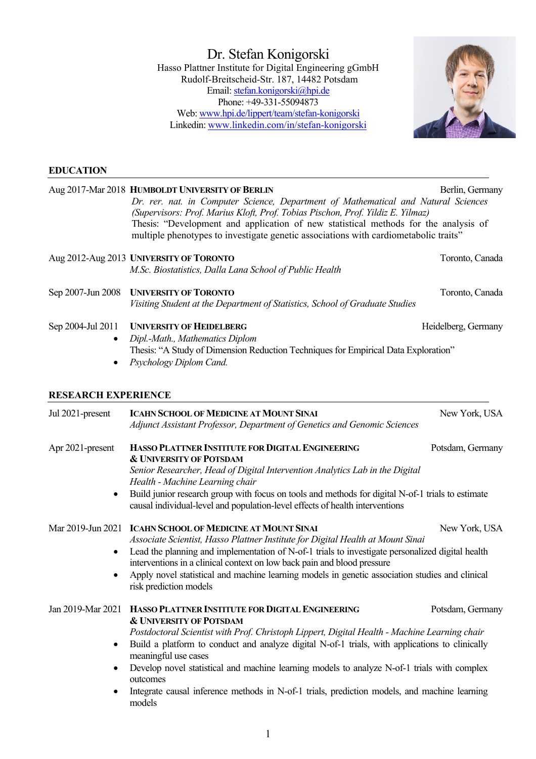Dr. Stefan Konigorski Hasso Plattner Institute for Digital Engineering gGmbH Rudolf-Breitscheid-Str. 187, 14482 Potsdam Email: stefan.konigorski@hpi.de Phone: +49-331-55094873 Web: www.hpi.de/lippert/team/stefan-konigorski Linkedin: www.linkedin.com/in/stefan-konigorski



#### **EDUCATION**

| Aug 2017-Mar 2018 HUMBOLDT UNIVERSITY OF BERLIN                                                                                                                                                                                                                                                                                                                                                                                                                                                                                                  | Berlin, Germany                                                                                                                                                                                                                                                                 |
|--------------------------------------------------------------------------------------------------------------------------------------------------------------------------------------------------------------------------------------------------------------------------------------------------------------------------------------------------------------------------------------------------------------------------------------------------------------------------------------------------------------------------------------------------|---------------------------------------------------------------------------------------------------------------------------------------------------------------------------------------------------------------------------------------------------------------------------------|
| (Supervisors: Prof. Marius Kloft, Prof. Tobias Pischon, Prof. Yildiz E. Yilmaz)<br>Thesis: "Development and application of new statistical methods for the analysis of                                                                                                                                                                                                                                                                                                                                                                           |                                                                                                                                                                                                                                                                                 |
|                                                                                                                                                                                                                                                                                                                                                                                                                                                                                                                                                  |                                                                                                                                                                                                                                                                                 |
| Aug 2012-Aug 2013 UNIVERSITY OF TORONTO<br>M.Sc. Biostatistics, Dalla Lana School of Public Health                                                                                                                                                                                                                                                                                                                                                                                                                                               | Toronto, Canada                                                                                                                                                                                                                                                                 |
| <b>UNIVERSITY OF TORONTO</b><br>Visiting Student at the Department of Statistics, School of Graduate Studies                                                                                                                                                                                                                                                                                                                                                                                                                                     | Toronto, Canada                                                                                                                                                                                                                                                                 |
| <b>UNIVERSITY OF HEIDELBERG</b><br>Dipl.-Math., Mathematics Diplom<br>Thesis: "A Study of Dimension Reduction Techniques for Empirical Data Exploration"<br>Psychology Diplom Cand.                                                                                                                                                                                                                                                                                                                                                              | Heidelberg, Germany                                                                                                                                                                                                                                                             |
| <b>RESEARCH EXPERIENCE</b>                                                                                                                                                                                                                                                                                                                                                                                                                                                                                                                       |                                                                                                                                                                                                                                                                                 |
| <b>ICAHN SCHOOL OF MEDICINE AT MOUNT SINAI</b><br>Adjunct Assistant Professor, Department of Genetics and Genomic Sciences                                                                                                                                                                                                                                                                                                                                                                                                                       | New York, USA                                                                                                                                                                                                                                                                   |
| HASSO PLATTNER INSTITUTE FOR DIGITAL ENGINEERING<br><b>&amp; UNIVERSITY OF POTSDAM</b><br>Senior Researcher, Head of Digital Intervention Analytics Lab in the Digital<br>Health - Machine Learning chair                                                                                                                                                                                                                                                                                                                                        | Potsdam, Germany                                                                                                                                                                                                                                                                |
| causal individual-level and population-level effects of health interventions                                                                                                                                                                                                                                                                                                                                                                                                                                                                     |                                                                                                                                                                                                                                                                                 |
| Mar 2019-Jun 2021<br><b>ICAHN SCHOOL OF MEDICINE AT MOUNT SINAI</b><br>Associate Scientist, Hasso Plattner Institute for Digital Health at Mount Sinai<br>Lead the planning and implementation of N-of-1 trials to investigate personalized digital health<br>interventions in a clinical context on low back pain and blood pressure<br>Apply novel statistical and machine learning models in genetic association studies and clinical<br>risk prediction models                                                                               | New York, USA                                                                                                                                                                                                                                                                   |
| Jan 2019-Mar 2021<br>HASSO PLATTNER INSTITUTE FOR DIGITAL ENGINEERING<br><b>&amp; UNIVERSITY OF POTSDAM</b><br>Postdoctoral Scientist with Prof. Christoph Lippert, Digital Health - Machine Learning chair<br>Build a platform to conduct and analyze digital N-of-1 trials, with applications to clinically<br>meaningful use cases<br>Develop novel statistical and machine learning models to analyze N-of-1 trials with complex<br>outcomes<br>Integrate causal inference methods in N-of-1 trials, prediction models, and machine learning | Potsdam, Germany                                                                                                                                                                                                                                                                |
|                                                                                                                                                                                                                                                                                                                                                                                                                                                                                                                                                  | Dr. rer. nat. in Computer Science, Department of Mathematical and Natural Sciences<br>multiple phenotypes to investigate genetic associations with cardiometabolic traits"<br>Build junior research group with focus on tools and methods for digital N-of-1 trials to estimate |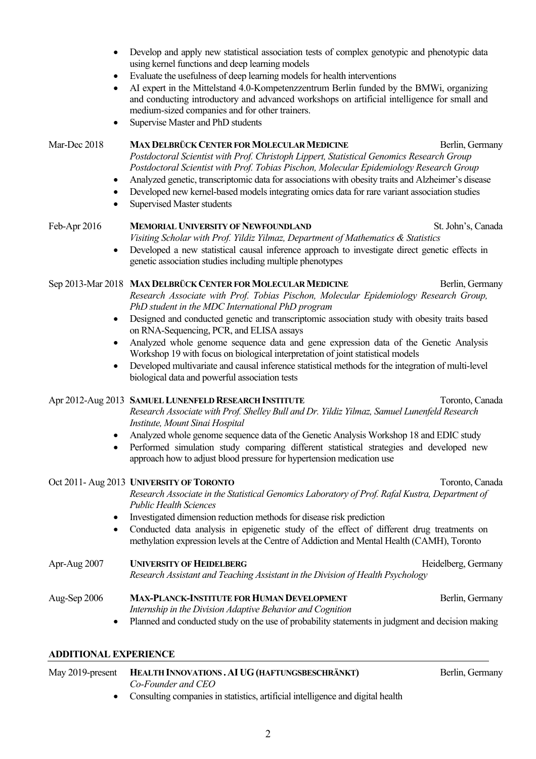- Develop and apply new statistical association tests of complex genotypic and phenotypic data using kernel functions and deep learning models
- Evaluate the usefulness of deep learning models for health interventions
- AI expert in the Mittelstand 4.0-Kompetenzzentrum Berlin funded by the BMWi, organizing and conducting introductory and advanced workshops on artificial intelligence for small and medium-sized companies and for other trainers.
- Supervise Master and PhD students

#### Mar-Dec 2018 **MAX DELBRÜCK CENTER FOR MOLECULAR MEDICINE** Berlin, Germany

- *Postdoctoral Scientist with Prof. Christoph Lippert, Statistical Genomics Research Group Postdoctoral Scientist with Prof. Tobias Pischon, Molecular Epidemiology Research Group*
- Analyzed genetic, transcriptomic data for associations with obesity traits and Alzheimer's disease
- Developed new kernel-based models integrating omics data for rare variant association studies
- Supervised Master students

## Feb-Apr 2016 **MEMORIAL UNIVERSITY OF NEWFOUNDLAND** St. John's, Canada

- *Visiting Scholar with Prof. Yildiz Yilmaz, Department of Mathematics & Statistics*
- Developed a new statistical causal inference approach to investigate direct genetic effects in genetic association studies including multiple phenotypes

# Sep 2013-Mar 2018 MAX DELBRÜCK CENTER FOR MOLECULAR MEDICINE Berlin, Germany

*Research Associate with Prof. Tobias Pischon, Molecular Epidemiology Research Group, PhD student in the MDC International PhD program*

- Designed and conducted genetic and transcriptomic association study with obesity traits based on RNA-Sequencing, PCR, and ELISA assays
- Analyzed whole genome sequence data and gene expression data of the Genetic Analysis Workshop 19 with focus on biological interpretation of joint statistical models
- Developed multivariate and causal inference statistical methods for the integration of multi-level biological data and powerful association tests

# Apr 2012-Aug 2013 **SAMUEL LUNENFELD RESEARCH INSTITUTE** Toronto, Canada

*Research Associate with Prof. Shelley Bull and Dr. Yildiz Yilmaz, Samuel Lunenfeld Research Institute, Mount Sinai Hospital*

- Analyzed whole genome sequence data of the Genetic Analysis Workshop 18 and EDIC study
- Performed simulation study comparing different statistical strategies and developed new approach how to adjust blood pressure for hypertension medication use

# Oct 2011- Aug 2013 **UNIVERSITY OF TORONTO Toronto, Canada** Toronto, Canada

*Research Associate in the Statistical Genomics Laboratory of Prof. Rafal Kustra, Department of Public Health Sciences*

- Investigated dimension reduction methods for disease risk prediction
- Conducted data analysis in epigenetic study of the effect of different drug treatments on methylation expression levels at the Centre of Addiction and Mental Health (CAMH), Toronto

Apr-Aug 2007 **UNIVERSITY OF HEIDELBERG** Heidelberg, Germany *Research Assistant and Teaching Assistant in the Division of Health Psychology*

# Aug-Sep 2006 MAX-PLANCK-INSTITUTE FOR HUMAN DEVELOPMENT Berlin, Germany *Internship in the Division Adaptive Behavior and Cognition*

• Planned and conducted study on the use of probability statements in judgment and decision making

# **ADDITIONAL EXPERIENCE**

| May 2019-present HEALTH INNOVATIONS. AI UG (HAFTUNGSBESCHRÄNKT)                  | Berlin, Germany |
|----------------------------------------------------------------------------------|-----------------|
| Co-Founder and CEO                                                               |                 |
| • Consulting companies in statistics, artificial intelligence and digital health |                 |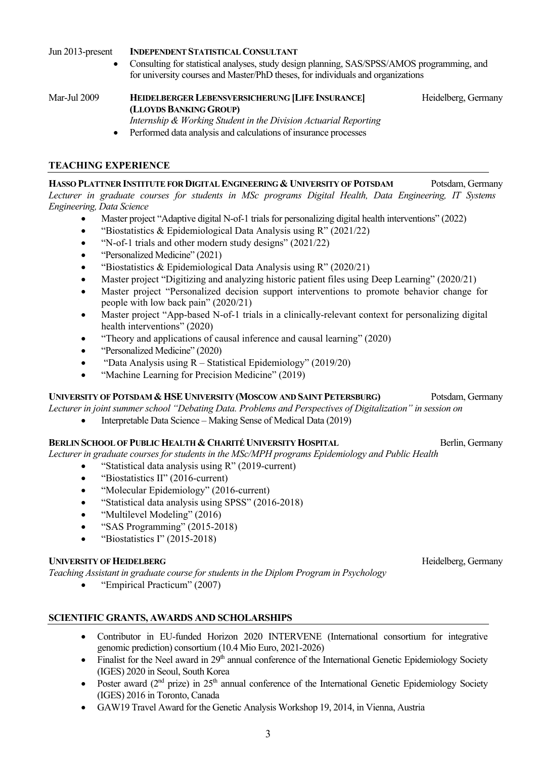Jun 2013-present **INDEPENDENT STATISTICAL CONSULTANT**

• Consulting for statistical analyses, study design planning, SAS/SPSS/AMOS programming, and for university courses and Master/PhD theses, for individuals and organizations

Mar-Jul 2009 **HEIDELBERGER LEBENSVERSICHERUNG [LIFE INSURANCE]** Heidelberg, Germany **(LLOYDS BANKING GROUP)** *Internship & Working Student in the Division Actuarial Reporting*

• Performed data analysis and calculations of insurance processes

## **TEACHING EXPERIENCE**

**HASSO PLATTNER INSTITUTE FOR DIGITAL ENGINEERING & UNIVERSITY OF POTSDAM** Potsdam, Germany *Lecturer in graduate courses for students in MSc programs Digital Health, Data Engineering, IT Systems Engineering, Data Science*

- Master project "Adaptive digital N-of-1 trials for personalizing digital health interventions" (2022)
- "Biostatistics & Epidemiological Data Analysis using R" (2021/22)
- "N-of-1 trials and other modern study designs" (2021/22)
- "Personalized Medicine" (2021)
- "Biostatistics & Epidemiological Data Analysis using R" (2020/21)
- Master project "Digitizing and analyzing historic patient files using Deep Learning" (2020/21)
- Master project "Personalized decision support interventions to promote behavior change for people with low back pain" (2020/21)
- Master project "App-based N-of-1 trials in a clinically-relevant context for personalizing digital health interventions" (2020)
- "Theory and applications of causal inference and causal learning" (2020)
- "Personalized Medicine" (2020)
- "Data Analysis using  $R -$  Statistical Epidemiology" (2019/20)
- "Machine Learning for Precision Medicine" (2019)

## **UNIVERSITY OF POTSDAM & HSE UNIVERSITY (MOSCOW AND SAINT PETERSBURG)** Potsdam, Germany

*Lecturer in joint summer school "Debating Data. Problems and Perspectives of Digitalization" in session on* 

• Interpretable Data Science – Making Sense of Medical Data (2019)

## BERLIN SCHOOL OF PUBLIC HEALTH & CHARITÉ UNIVERSITY HOSPITAL Berlin, Germany

*Lecturer in graduate courses for students in the MSc/MPH programs Epidemiology and Public Health*

- "Statistical data analysis using R" (2019-current)
- "Biostatistics II" (2016-current)
- "Molecular Epidemiology" (2016-current)
- "Statistical data analysis using SPSS" (2016-2018)
- "Multilevel Modeling" (2016)
- "SAS Programming" (2015-2018)
- "Biostatistics I" (2015-2018)

## **UNIVERSITY OF HEIDELBERG Heidelberg**, Germany

*Teaching Assistant in graduate course for students in the Diplom Program in Psychology*

• "Empirical Practicum" (2007)

## **SCIENTIFIC GRANTS, AWARDS AND SCHOLARSHIPS**

- Contributor in EU-funded Horizon 2020 INTERVENE (International consortium for integrative genomic prediction) consortium (10.4 Mio Euro, 2021-2026)
- Finalist for the Neel award in  $29<sup>th</sup>$  annual conference of the International Genetic Epidemiology Society (IGES) 2020 in Seoul, South Korea
- Poster award  $(2^{nd}$  prize) in  $25^{th}$  annual conference of the International Genetic Epidemiology Society (IGES) 2016 in Toronto, Canada
- GAW19 Travel Award for the Genetic Analysis Workshop 19, 2014, in Vienna, Austria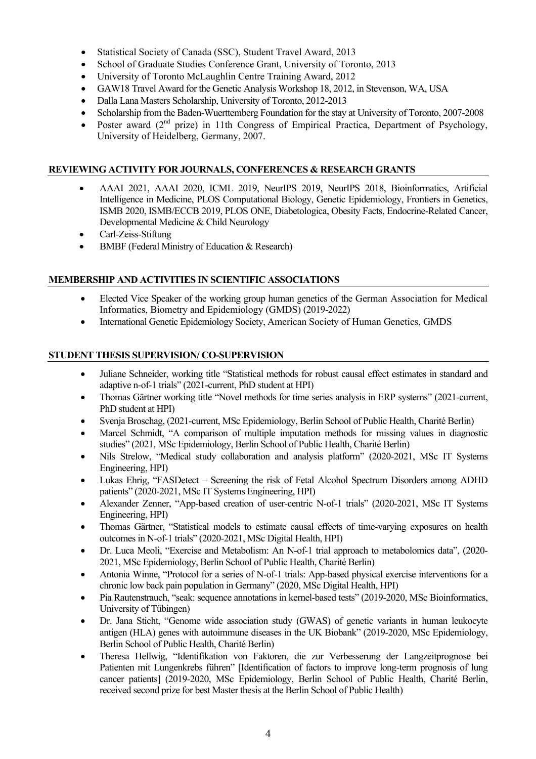- Statistical Society of Canada (SSC), Student Travel Award, 2013
- School of Graduate Studies Conference Grant, University of Toronto, 2013
- University of Toronto McLaughlin Centre Training Award, 2012
- GAW18 Travel Award for the Genetic Analysis Workshop 18, 2012, in Stevenson, WA, USA
- Dalla Lana Masters Scholarship, University of Toronto, 2012-2013
- Scholarship from the Baden-Wuerttemberg Foundation for the stay at University of Toronto, 2007-2008
- Poster award  $(2<sup>nd</sup>$  prize) in 11th Congress of Empirical Practica, Department of Psychology, University of Heidelberg, Germany, 2007.

## **REVIEWING ACTIVITY FOR JOURNALS, CONFERENCES & RESEARCH GRANTS**

- AAAI 2021, AAAI 2020, ICML 2019, NeurIPS 2019, NeurIPS 2018, Bioinformatics, Artificial Intelligence in Medicine, PLOS Computational Biology, Genetic Epidemiology, Frontiers in Genetics, ISMB 2020, ISMB/ECCB 2019, PLOS ONE, Diabetologica, Obesity Facts, Endocrine-Related Cancer, Developmental Medicine & Child Neurology
- Carl-Zeiss-Stiftung
- BMBF (Federal Ministry of Education & Research)

## **MEMBERSHIP AND ACTIVITIES IN SCIENTIFIC ASSOCIATIONS**

- Elected Vice Speaker of the working group human genetics of the German Association for Medical Informatics, Biometry and Epidemiology (GMDS) (2019-2022)
- International Genetic Epidemiology Society, American Society of Human Genetics, GMDS

## **STUDENT THESIS SUPERVISION/ CO-SUPERVISION**

- Juliane Schneider, working title "Statistical methods for robust causal effect estimates in standard and adaptive n-of-1 trials" (2021-current, PhD student at HPI)
- Thomas Gärtner working title "Novel methods for time series analysis in ERP systems" (2021-current, PhD student at HPI)
- Svenja Broschag, (2021-current, MSc Epidemiology, Berlin School of Public Health, Charité Berlin)
- Marcel Schmidt, "A comparison of multiple imputation methods for missing values in diagnostic studies" (2021, MSc Epidemiology, Berlin School of Public Health, Charité Berlin)
- Nils Strelow, "Medical study collaboration and analysis platform" (2020-2021, MSc IT Systems Engineering, HPI)
- Lukas Ehrig, "FASDetect Screening the risk of Fetal Alcohol Spectrum Disorders among ADHD patients" (2020-2021, MSc IT Systems Engineering, HPI)
- Alexander Zenner, "App-based creation of user-centric N-of-1 trials" (2020-2021, MSc IT Systems Engineering, HPI)
- Thomas Gärtner, "Statistical models to estimate causal effects of time-varying exposures on health outcomes in N-of-1 trials" (2020-2021, MSc Digital Health, HPI)
- Dr. Luca Meoli, "Exercise and Metabolism: An N-of-1 trial approach to metabolomics data", (2020- 2021, MSc Epidemiology, Berlin School of Public Health, Charité Berlin)
- Antonia Winne, "Protocol for a series of N-of-1 trials: App-based physical exercise interventions for a chronic low back pain population in Germany" (2020, MSc Digital Health, HPI)
- Pia Rautenstrauch, "seak: sequence annotations in kernel-based tests" (2019-2020, MSc Bioinformatics, University of Tübingen)
- Dr. Jana Sticht, "Genome wide association study (GWAS) of genetic variants in human leukocyte antigen (HLA) genes with autoimmune diseases in the UK Biobank" (2019-2020, MSc Epidemiology, Berlin School of Public Health, Charité Berlin)
- Theresa Hellwig, "Identifikation von Faktoren, die zur Verbesserung der Langzeitprognose bei Patienten mit Lungenkrebs führen" [Identification of factors to improve long-term prognosis of lung cancer patients] (2019-2020, MSc Epidemiology, Berlin School of Public Health, Charité Berlin, received second prize for best Master thesis at the Berlin School of Public Health)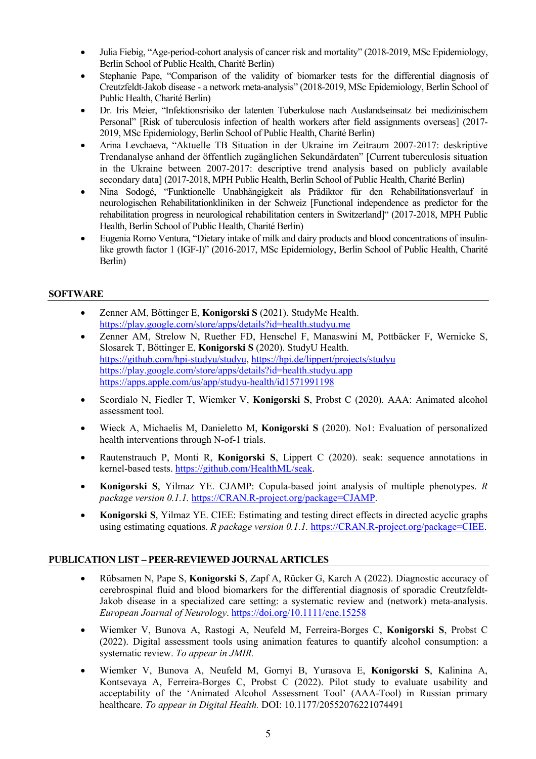- Julia Fiebig, "Age-period-cohort analysis of cancer risk and mortality" (2018-2019, MSc Epidemiology, Berlin School of Public Health, Charité Berlin)
- Stephanie Pape, "Comparison of the validity of biomarker tests for the differential diagnosis of Creutzfeldt-Jakob disease - a network meta-analysis" (2018-2019, MSc Epidemiology, Berlin School of Public Health, Charité Berlin)
- Dr. Iris Meier, "Infektionsrisiko der latenten Tuberkulose nach Auslandseinsatz bei medizinischem Personal" [Risk of tuberculosis infection of health workers after field assignments overseas] (2017- 2019, MSc Epidemiology, Berlin School of Public Health, Charité Berlin)
- Arina Levchaeva, "Aktuelle TB Situation in der Ukraine im Zeitraum 2007-2017: deskriptive Trendanalyse anhand der öffentlich zugänglichen Sekundärdaten" [Current tuberculosis situation in the Ukraine between 2007-2017: descriptive trend analysis based on publicly available secondary data] (2017-2018, MPH Public Health, Berlin School of Public Health, Charité Berlin)
- Nina Sodogé, "Funktionelle Unabhängigkeit als Prädiktor für den Rehabilitationsverlauf in neurologischen Rehabilitationkliniken in der Schweiz [Functional independence as predictor for the rehabilitation progress in neurological rehabilitation centers in Switzerland]" (2017-2018, MPH Public Health, Berlin School of Public Health, Charité Berlin)
- Eugenia Romo Ventura, "Dietary intake of milk and dairy products and blood concentrations of insulinlike growth factor 1 (IGF-I)" (2016-2017, MSc Epidemiology, Berlin School of Public Health, Charité Berlin)

## **SOFTWARE**

- Zenner AM, Böttinger E, **Konigorski S** (2021). StudyMe Health. https://play.google.com/store/apps/details?id=health.studyu.me
- Zenner AM, Strelow N, Ruether FD, Henschel F, Manaswini M, Pottbäcker F, Wernicke S, Slosarek T, Böttinger E, **Konigorski S** (2020). StudyU Health. https://github.com/hpi-studyu/studyu, https://hpi.de/lippert/projects/studyu https://play.google.com/store/apps/details?id=health.studyu.app https://apps.apple.com/us/app/studyu-health/id1571991198
- Scordialo N, Fiedler T, Wiemker V, **Konigorski S**, Probst C (2020). AAA: Animated alcohol assessment tool.
- Wieck A, Michaelis M, Danieletto M, **Konigorski S** (2020). No1: Evaluation of personalized health interventions through N-of-1 trials.
- Rautenstrauch P, Monti R, **Konigorski S**, Lippert C (2020). seak: sequence annotations in kernel-based tests. https://github.com/HealthML/seak.
- **Konigorski S**, Yilmaz YE. CJAMP: Copula-based joint analysis of multiple phenotypes. *R package version 0.1.1.* https://CRAN.R-project.org/package=CJAMP.
- **Konigorski S**, Yilmaz YE. CIEE: Estimating and testing direct effects in directed acyclic graphs using estimating equations. *R package version 0.1.1.* https://CRAN.R-project.org/package=CIEE.

## **PUBLICATION LIST – PEER-REVIEWED JOURNAL ARTICLES**

- Rübsamen N, Pape S, **Konigorski S**, Zapf A, Rücker G, Karch A (2022). Diagnostic accuracy of cerebrospinal fluid and blood biomarkers for the differential diagnosis of sporadic Creutzfeldt-Jakob disease in a specialized care setting: a systematic review and (network) meta-analysis. *European Journal of Neurology*. https://doi.org/10.1111/ene.15258
- Wiemker V, Bunova A, Rastogi A, Neufeld M, Ferreira-Borges C, **Konigorski S**, Probst C (2022). Digital assessment tools using animation features to quantify alcohol consumption: a systematic review. *To appear in JMIR.*
- Wiemker V, Bunova A, Neufeld M, Gornyi B, Yurasova E, **Konigorski S**, Kalinina A, Kontsevaya A, Ferreira-Borges C, Probst C (2022). Pilot study to evaluate usability and acceptability of the 'Animated Alcohol Assessment Tool' (AAA-Tool) in Russian primary healthcare. *To appear in Digital Health.* DOI: 10.1177/20552076221074491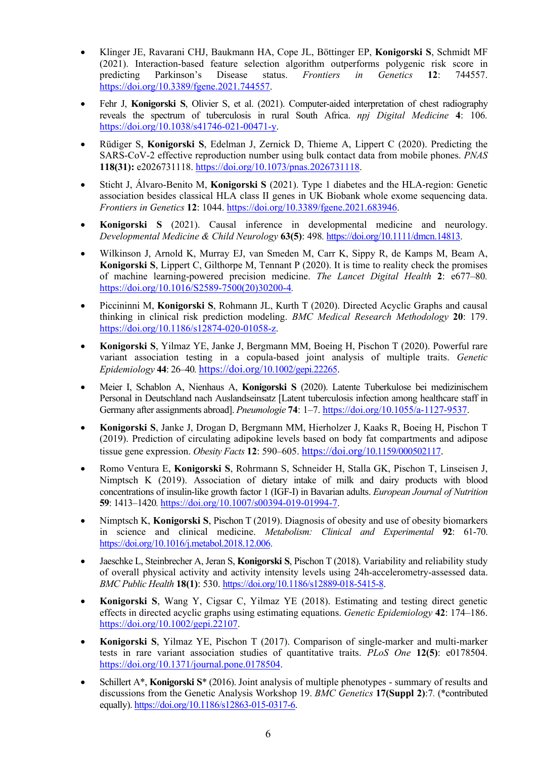- Klinger JE, Ravarani CHJ, Baukmann HA, Cope JL, Böttinger EP, **Konigorski S**, Schmidt MF (2021). Interaction-based feature selection algorithm outperforms polygenic risk score in predicting Parkinson's Disease status. *Frontiers in Genetics* **12**: 744557. https://doi.org/10.3389/fgene.2021.744557.
- Fehr J, **Konigorski S**, Olivier S, et al. (2021). Computer-aided interpretation of chest radiography reveals the spectrum of tuberculosis in rural South Africa. *npj Digital Medicine* **4**: 106*.* https://doi.org/10.1038/s41746-021-00471-y.
- Rüdiger S, **Konigorski S**, Edelman J, Zernick D, Thieme A, Lippert C (2020). Predicting the SARS-CoV-2 effective reproduction number using bulk contact data from mobile phones. *PNAS* **118(31):** e2026731118. https://doi.org/10.1073/pnas.2026731118.
- Sticht J, Álvaro-Benito M, **Konigorski S** (2021). Type 1 diabetes and the HLA-region: Genetic association besides classical HLA class II genes in UK Biobank whole exome sequencing data. *Frontiers in Genetics* **12**: 1044. https://doi.org/10.3389/fgene.2021.683946.
- **Konigorski S** (2021). Causal inference in developmental medicine and neurology. *Developmental Medicine & Child Neurology* **63(5)**: 498*.* https://doi.org/10.1111/dmcn.14813.
- Wilkinson J, Arnold K, Murray EJ, van Smeden M, Carr K, Sippy R, de Kamps M, Beam A, **Konigorski S**, Lippert C, Gilthorpe M, Tennant P (2020). It is time to reality check the promises of machine learning-powered precision medicine. *The Lancet Digital Health* **2**: e677–80*.* https://doi.org/10.1016/S2589-7500(20)30200-4*.*
- Piccininni M, **Konigorski S**, Rohmann JL, Kurth T (2020). Directed Acyclic Graphs and causal thinking in clinical risk prediction modeling. *BMC Medical Research Methodology* **20**: 179. https://doi.org/10.1186/s12874-020-01058-z.
- **Konigorski S**, Yilmaz YE, Janke J, Bergmann MM, Boeing H, Pischon T (2020). Powerful rare variant association testing in a copula-based joint analysis of multiple traits. *Genetic Epidemiology* **44**: 26–40*.* https://doi.org/10.1002/gepi.22265.
- Meier I, Schablon A, Nienhaus A, **Konigorski S** (2020). Latente Tuberkulose bei medizinischem Personal in Deutschland nach Auslandseinsatz [Latent tuberculosis infection among healthcare staff in Germany after assignments abroad]. *Pneumologie* **74**: 1–7. https://doi.org/10.1055/a-1127-9537.
- **Konigorski S**, Janke J, Drogan D, Bergmann MM, Hierholzer J, Kaaks R, Boeing H, Pischon T (2019). Prediction of circulating adipokine levels based on body fat compartments and adipose tissue gene expression. *Obesity Facts* **12**: 590–605. https://doi.org/10.1159/000502117.
- Romo Ventura E, **Konigorski S**, Rohrmann S, Schneider H, Stalla GK, Pischon T, Linseisen J, Nimptsch K (2019). Association of dietary intake of milk and dairy products with blood concentrations of insulin-like growth factor 1 (IGF-I) in Bavarian adults. *European Journal of Nutrition* **59**: 1413–1420*.* https://doi.org/10.1007/s00394-019-01994-7.
- Nimptsch K, **Konigorski S**, Pischon T (2019). Diagnosis of obesity and use of obesity biomarkers in science and clinical medicine. *Metabolism: Clinical and Experimental* **92**: 61-70. https://doi.org/10.1016/j.metabol.2018.12.006.
- Jaeschke L, Steinbrecher A, Jeran S, **Konigorski S**, Pischon T (2018). Variability and reliability study of overall physical activity and activity intensity levels using 24h-accelerometry-assessed data. *BMC Public Health* **18(1)**: 530. https://doi.org/10.1186/s12889-018-5415-8.
- **Konigorski S**, Wang Y, Cigsar C, Yilmaz YE (2018). Estimating and testing direct genetic effects in directed acyclic graphs using estimating equations. *Genetic Epidemiology* **42**: 174–186. https://doi.org/10.1002/gepi.22107.
- **Konigorski S**, Yilmaz YE, Pischon T (2017). Comparison of single-marker and multi-marker tests in rare variant association studies of quantitative traits. *PLoS One* **12(5)**: e0178504. https://doi.org/10.1371/journal.pone.0178504.
- Schillert A\*, **Konigorski S**\* (2016). Joint analysis of multiple phenotypes summary of results and discussions from the Genetic Analysis Workshop 19. *BMC Genetics* **17(Suppl 2)**:7*.* (\*contributed equally). https://doi.org/10.1186/s12863-015-0317-6.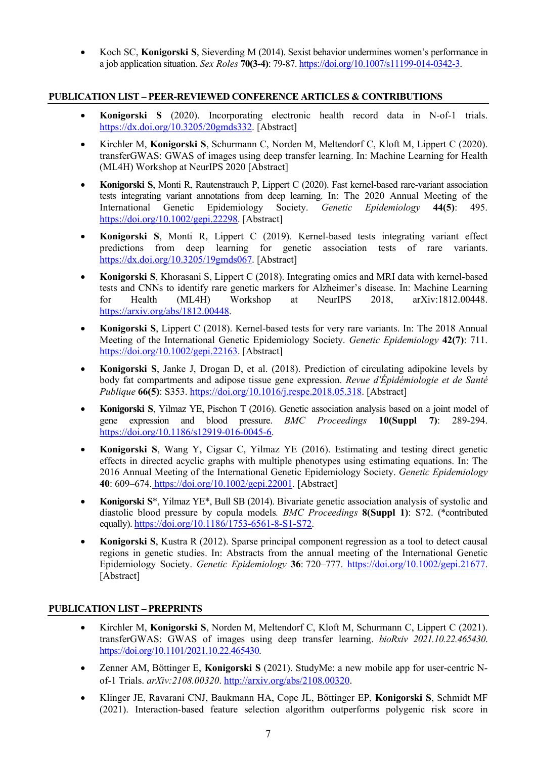• Koch SC, **Konigorski S**, Sieverding M (2014). Sexist behavior undermines women's performance in a job application situation. *Sex Roles* **70(3-4)**: 79-87. https://doi.org/10.1007/s11199-014-0342-3.

#### **PUBLICATION LIST – PEER-REVIEWED CONFERENCE ARTICLES & CONTRIBUTIONS**

- **Konigorski S** (2020). Incorporating electronic health record data in N-of-1 trials. https://dx.doi.org/10.3205/20gmds332. [Abstract]
- Kirchler M, **Konigorski S**, Schurmann C, Norden M, Meltendorf C, Kloft M, Lippert C (2020). transferGWAS: GWAS of images using deep transfer learning. In: Machine Learning for Health (ML4H) Workshop at NeurIPS 2020 [Abstract]
- **Konigorski S**, Monti R, Rautenstrauch P, Lippert C (2020). Fast kernel-based rare-variant association tests integrating variant annotations from deep learning. In: The 2020 Annual Meeting of the International Genetic Epidemiology Society. *Genetic Epidemiology* **44(5)**: 495. https://doi.org/10.1002/gepi.22298. [Abstract]
- **Konigorski S**, Monti R, Lippert C (2019). Kernel-based tests integrating variant effect predictions from deep learning for genetic association tests of rare variants. https://dx.doi.org/10.3205/19gmds067. [Abstract]
- **Konigorski S**, Khorasani S, Lippert C (2018). Integrating omics and MRI data with kernel-based tests and CNNs to identify rare genetic markers for Alzheimer's disease. In: Machine Learning for Health (ML4H) Workshop at NeurIPS 2018, arXiv:1812.00448. https://arxiv.org/abs/1812.00448.
- **Konigorski S**, Lippert C (2018). Kernel-based tests for very rare variants. In: The 2018 Annual Meeting of the International Genetic Epidemiology Society. *Genetic Epidemiology* **42(7)**: 711. https://doi.org/10.1002/gepi.22163. [Abstract]
- **Konigorski S**, Janke J, Drogan D, et al. (2018). Prediction of circulating adipokine levels by body fat compartments and adipose tissue gene expression. *Revue d'Épidémiologie et de Santé Publique* **66(5)**: S353. https://doi.org/10.1016/j.respe.2018.05.318. [Abstract]
- **Konigorski S**, Yilmaz YE, Pischon T (2016). Genetic association analysis based on a joint model of gene expression and blood pressure. *BMC Proceedings* **10(Suppl 7)**: 289-294. https://doi.org/10.1186/s12919-016-0045-6.
- **Konigorski S**, Wang Y, Cigsar C, Yilmaz YE (2016). Estimating and testing direct genetic effects in directed acyclic graphs with multiple phenotypes using estimating equations. In: The 2016 Annual Meeting of the International Genetic Epidemiology Society. *Genetic Epidemiology* **40**: 609–674. https://doi.org/10.1002/gepi.22001. [Abstract]
- **Konigorski S**\*, Yilmaz YE\*, Bull SB (2014). Bivariate genetic association analysis of systolic and diastolic blood pressure by copula models*. BMC Proceedings* **8(Suppl 1)**: S72. (\*contributed equally). https://doi.org/10.1186/1753-6561-8-S1-S72.
- **Konigorski S**, Kustra R (2012). Sparse principal component regression as a tool to detect causal regions in genetic studies. In: Abstracts from the annual meeting of the International Genetic Epidemiology Society. *Genetic Epidemiology* **36**: 720–777. https://doi.org/10.1002/gepi.21677. [Abstract]

## **PUBLICATION LIST – PREPRINTS**

- Kirchler M, **Konigorski S**, Norden M, Meltendorf C, Kloft M, Schurmann C, Lippert C (2021). transferGWAS: GWAS of images using deep transfer learning. *bioRxiv 2021.10.22.465430*. https://doi.org/10.1101/2021.10.22.465430.
- Zenner AM, Böttinger E, **Konigorski S** (2021). StudyMe: a new mobile app for user-centric Nof-1 Trials. *arXiv:2108.00320*. http://arxiv.org/abs/2108.00320.
- Klinger JE, Ravarani CNJ, Baukmann HA, Cope JL, Böttinger EP, **Konigorski S**, Schmidt MF (2021). Interaction-based feature selection algorithm outperforms polygenic risk score in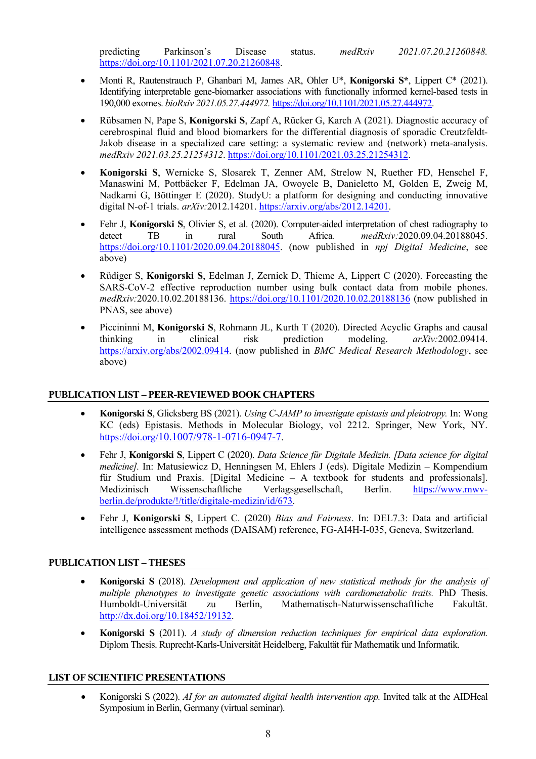predicting Parkinson's Disease status. *medRxiv 2021.07.20.21260848.* https://doi.org/10.1101/2021.07.20.21260848.

- Monti R, Rautenstrauch P, Ghanbari M, James AR, Ohler U\*, **Konigorski S\***, Lippert C\* (2021). Identifying interpretable gene-biomarker associations with functionally informed kernel-based tests in 190,000 exomes. *bioRxiv 2021.05.27.444972.* https://doi.org/10.1101/2021.05.27.444972.
- Rübsamen N, Pape S, **Konigorski S**, Zapf A, Rücker G, Karch A (2021). Diagnostic accuracy of cerebrospinal fluid and blood biomarkers for the differential diagnosis of sporadic Creutzfeldt-Jakob disease in a specialized care setting: a systematic review and (network) meta-analysis. *medRxiv 2021.03.25.21254312*. https://doi.org/10.1101/2021.03.25.21254312.
- **Konigorski S**, Wernicke S, Slosarek T, Zenner AM, Strelow N, Ruether FD, Henschel F, Manaswini M, Pottbäcker F, Edelman JA, Owoyele B, Danieletto M, Golden E, Zweig M, Nadkarni G, Böttinger E (2020). StudyU: a platform for designing and conducting innovative digital N-of-1 trials. *arXiv:*2012.14201. https://arxiv.org/abs/2012.14201.
- Fehr J, **Konigorski S**, Olivier S, et al. (2020). Computer-aided interpretation of chest radiography to detect TB in rural South Africa*. medRxiv:*2020.09.04.20188045. https://doi.org/10.1101/2020.09.04.20188045. (now published in *npj Digital Medicine*, see above)
- Rüdiger S, **Konigorski S**, Edelman J, Zernick D, Thieme A, Lippert C (2020). Forecasting the SARS-CoV-2 effective reproduction number using bulk contact data from mobile phones. *medRxiv:*2020.10.02.20188136. https://doi.org/10.1101/2020.10.02.20188136 (now published in PNAS, see above)
- Piccininni M, **Konigorski S**, Rohmann JL, Kurth T (2020). Directed Acyclic Graphs and causal thinking in clinical risk prediction modeling. *arXiv:*2002.09414. https://arxiv.org/abs/2002.09414. (now published in *BMC Medical Research Methodology*, see above)

## **PUBLICATION LIST – PEER-REVIEWED BOOK CHAPTERS**

- **Konigorski S**, Glicksberg BS (2021). *Using C-JAMP to investigate epistasis and pleiotropy.* In: Wong KC (eds) Epistasis. Methods in Molecular Biology, vol 2212. Springer, New York, NY. https://doi.org/10.1007/978-1-0716-0947-7.
- Fehr J, **Konigorski S**, Lippert C (2020). *Data Science für Digitale Medizin. [Data science for digital medicine].* In: Matusiewicz D, Henningsen M, Ehlers J (eds). Digitale Medizin – Kompendium für Studium und Praxis. [Digital Medicine – A textbook for students and professionals]. Medizinisch Wissenschaftliche Verlagsgesellschaft, Berlin. https://www.mwvberlin.de/produkte/!/title/digitale-medizin/id/673.
- Fehr J, **Konigorski S**, Lippert C. (2020) *Bias and Fairness*. In: DEL7.3: Data and artificial intelligence assessment methods (DAISAM) reference, FG-AI4H-I-035, Geneva, Switzerland.

## **PUBLICATION LIST – THESES**

- **Konigorski S** (2018). *Development and application of new statistical methods for the analysis of multiple phenotypes to investigate genetic associations with cardiometabolic traits.* PhD Thesis. Humboldt-Universität zu Berlin, Mathematisch-Naturwissenschaftliche Fakultät. http://dx.doi.org/10.18452/19132.
- **Konigorski S** (2011). *A study of dimension reduction techniques for empirical data exploration.* Diplom Thesis. Ruprecht-Karls-Universität Heidelberg, Fakultät für Mathematik und Informatik.

## **LIST OF SCIENTIFIC PRESENTATIONS**

• Konigorski S (2022). *AI for an automated digital health intervention app.* Invited talk at the AIDHeal Symposium in Berlin, Germany (virtual seminar).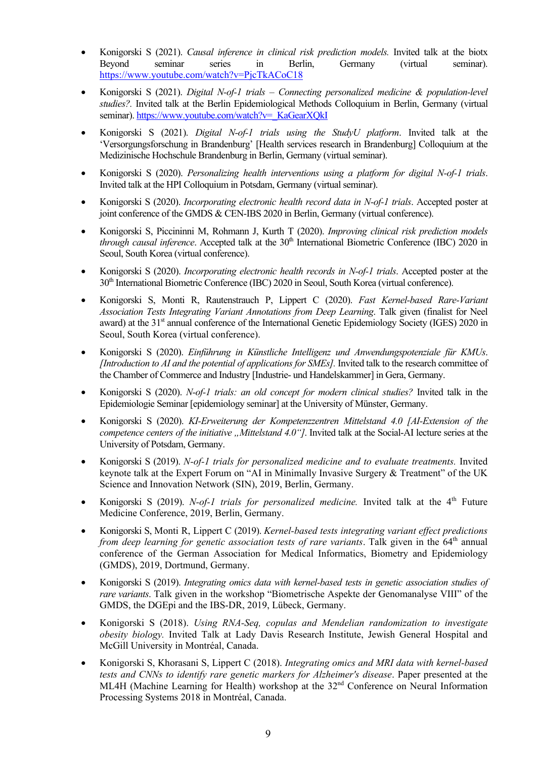- Konigorski S (2021). *Causal inference in clinical risk prediction models.* Invited talk at the biotx Beyond seminar series in Berlin, Germany (virtual seminar). https://www.youtube.com/watch?v=PjcTkACoC18
- Konigorski S (2021). *Digital N-of-1 trials – Connecting personalized medicine & population-level studies?.* Invited talk at the Berlin Epidemiological Methods Colloquium in Berlin, Germany (virtual seminar). https://www.youtube.com/watch?v=\_KaGearXOkI
- Konigorski S (2021). *Digital N-of-1 trials using the StudyU platform*. Invited talk at the 'Versorgungsforschung in Brandenburg' [Health services research in Brandenburg] Colloquium at the Medizinische Hochschule Brandenburg in Berlin, Germany (virtual seminar).
- Konigorski S (2020). *Personalizing health interventions using a platform for digital N-of-1 trials*. Invited talk at the HPI Colloquium in Potsdam, Germany (virtual seminar).
- Konigorski S (2020). *Incorporating electronic health record data in N-of-1 trials*. Accepted poster at joint conference of the GMDS & CEN-IBS 2020 in Berlin, Germany (virtual conference).
- Konigorski S, Piccininni M, Rohmann J, Kurth T (2020). *Improving clinical risk prediction models through causal inference*. Accepted talk at the 30<sup>th</sup> International Biometric Conference (IBC) 2020 in Seoul, South Korea (virtual conference).
- Konigorski S (2020). *Incorporating electronic health records in N-of-1 trials*. Accepted poster at the 30th International Biometric Conference (IBC) 2020 in Seoul, South Korea (virtual conference).
- Konigorski S, Monti R, Rautenstrauch P, Lippert C (2020). *Fast Kernel-based Rare-Variant Association Tests Integrating Variant Annotations from Deep Learning*. Talk given (finalist for Neel award) at the 31<sup>st</sup> annual conference of the International Genetic Epidemiology Society (IGES) 2020 in Seoul, South Korea (virtual conference).
- Konigorski S (2020). *Einführung in Künstliche Intelligenz und Anwendungspotenziale für KMUs*. *[Introduction to AI and the potential of applications for SMEs].* Invited talk to the research committee of the Chamber of Commerce and Industry [Industrie- und Handelskammer] in Gera, Germany.
- Konigorski S (2020). *N-of-1 trials: an old concept for modern clinical studies?* Invited talk in the Epidemiologie Seminar [epidemiology seminar] at the University of Münster, Germany.
- Konigorski S (2020). *KI-Erweiterung der Kompetenzzentren Mittelstand 4.0 [AI-Extension of the competence centers of the initiative "Mittelstand 4.0"]*. Invited talk at the Social-AI lecture series at the University of Potsdam, Germany.
- Konigorski S (2019). *N-of-1 trials for personalized medicine and to evaluate treatments.* Invited keynote talk at the Expert Forum on "AI in Minimally Invasive Surgery & Treatment" of the UK Science and Innovation Network (SIN), 2019, Berlin, Germany.
- Konigorski S (2019). *N-of-1 trials for personalized medicine*. Invited talk at the 4<sup>th</sup> Future Medicine Conference, 2019, Berlin, Germany.
- Konigorski S, Monti R, Lippert C (2019). *Kernel-based tests integrating variant effect predictions from deep learning for genetic association tests of rare variants*. Talk given in the 64<sup>th</sup> annual conference of the German Association for Medical Informatics, Biometry and Epidemiology (GMDS), 2019, Dortmund, Germany.
- Konigorski S (2019). *Integrating omics data with kernel-based tests in genetic association studies of rare variants*. Talk given in the workshop "Biometrische Aspekte der Genomanalyse VIII" of the GMDS, the DGEpi and the IBS-DR, 2019, Lübeck, Germany.
- Konigorski S (2018). *Using RNA-Seq, copulas and Mendelian randomization to investigate obesity biology.* Invited Talk at Lady Davis Research Institute, Jewish General Hospital and McGill University in Montréal, Canada.
- Konigorski S, Khorasani S, Lippert C (2018). *Integrating omics and MRI data with kernel-based tests and CNNs to identify rare genetic markers for Alzheimer's disease*. Paper presented at the ML4H (Machine Learning for Health) workshop at the 32<sup>nd</sup> Conference on Neural Information Processing Systems 2018 in Montréal, Canada.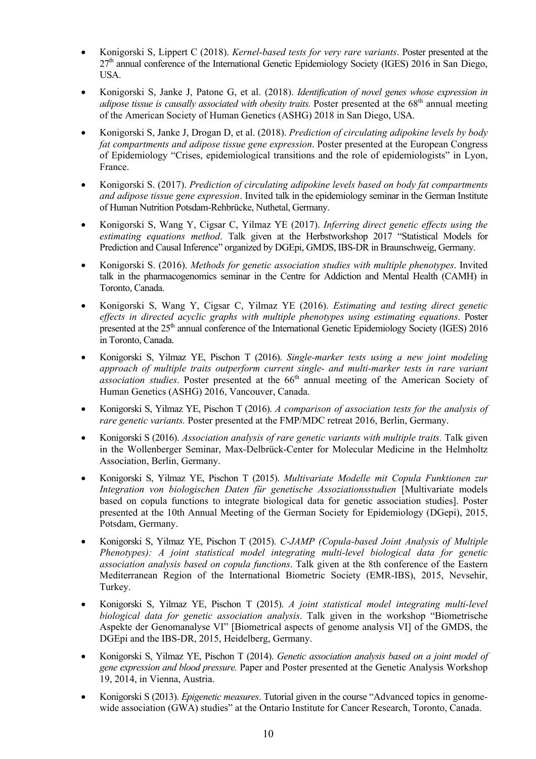- Konigorski S, Lippert C (2018). *Kernel-based tests for very rare variants*. Poster presented at the 27<sup>th</sup> annual conference of the International Genetic Epidemiology Society (IGES) 2016 in San Diego, USA.
- Konigorski S, Janke J, Patone G, et al. (2018). *Identification of novel genes whose expression in adipose tissue is causally associated with obesity traits.* Poster presented at the 68<sup>th</sup> annual meeting of the American Society of Human Genetics (ASHG) 2018 in San Diego, USA.
- Konigorski S, Janke J, Drogan D, et al. (2018). *Prediction of circulating adipokine levels by body fat compartments and adipose tissue gene expression*. Poster presented at the European Congress of Epidemiology "Crises, epidemiological transitions and the role of epidemiologists" in Lyon, France.
- Konigorski S. (2017). *Prediction of circulating adipokine levels based on body fat compartments and adipose tissue gene expression*. Invited talk in the epidemiology seminar in the German Institute of Human Nutrition Potsdam-Rehbrücke, Nuthetal, Germany.
- Konigorski S, Wang Y, Cigsar C, Yilmaz YE (2017). *Inferring direct genetic effects using the estimating equations method*. Talk given at the Herbstworkshop 2017 "Statistical Models for Prediction and Causal Inference" organized by DGEpi, GMDS, IBS-DR in Braunschweig, Germany.
- Konigorski S. (2016). *Methods for genetic association studies with multiple phenotypes*. Invited talk in the pharmacogenomics seminar in the Centre for Addiction and Mental Health (CAMH) in Toronto, Canada.
- Konigorski S, Wang Y, Cigsar C, Yilmaz YE (2016). *Estimating and testing direct genetic effects in directed acyclic graphs with multiple phenotypes using estimating equations*. Poster presented at the 25<sup>th</sup> annual conference of the International Genetic Epidemiology Society (IGES) 2016 in Toronto, Canada.
- Konigorski S, Yilmaz YE, Pischon T (2016). *Single-marker tests using a new joint modeling approach of multiple traits outperform current single- and multi-marker tests in rare variant*  association studies. Poster presented at the 66<sup>th</sup> annual meeting of the American Society of Human Genetics (ASHG) 2016, Vancouver, Canada.
- Konigorski S, Yilmaz YE, Pischon T (2016). *A comparison of association tests for the analysis of rare genetic variants.* Poster presented at the FMP/MDC retreat 2016, Berlin, Germany.
- Konigorski S (2016). *Association analysis of rare genetic variants with multiple traits.* Talk given in the Wollenberger Seminar, Max-Delbrück-Center for Molecular Medicine in the Helmholtz Association, Berlin, Germany.
- Konigorski S, Yilmaz YE, Pischon T (2015). *Multivariate Modelle mit Copula Funktionen zur Integration von biologischen Daten für genetische Assoziationsstudien* [Multivariate models based on copula functions to integrate biological data for genetic association studies]. Poster presented at the 10th Annual Meeting of the German Society for Epidemiology (DGepi), 2015, Potsdam, Germany.
- Konigorski S, Yilmaz YE, Pischon T (2015). *C-JAMP (Copula-based Joint Analysis of Multiple Phenotypes): A joint statistical model integrating multi-level biological data for genetic association analysis based on copula functions*. Talk given at the 8th conference of the Eastern Mediterranean Region of the International Biometric Society (EMR-IBS), 2015, Nevsehir, Turkey.
- Konigorski S, Yilmaz YE, Pischon T (2015). *A joint statistical model integrating multi-level biological data for genetic association analysis*. Talk given in the workshop "Biometrische Aspekte der Genomanalyse VI" [Biometrical aspects of genome analysis VI] of the GMDS, the DGEpi and the IBS-DR, 2015, Heidelberg, Germany.
- Konigorski S, Yilmaz YE, Pischon T (2014). *Genetic association analysis based on a joint model of gene expression and blood pressure.* Paper and Poster presented at the Genetic Analysis Workshop 19, 2014, in Vienna, Austria.
- Konigorski S (2013). *Epigenetic measures*. Tutorial given in the course "Advanced topics in genomewide association (GWA) studies" at the Ontario Institute for Cancer Research, Toronto, Canada.